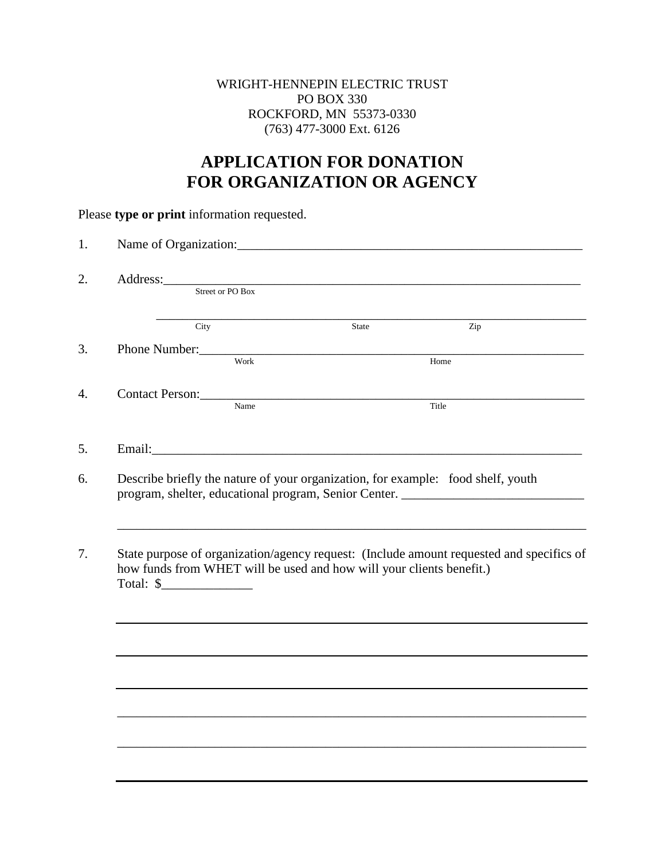## WRIGHT-HENNEPIN ELECTRIC TRUST PO BOX 330 ROCKFORD, MN 55373-0330 (763) 477-3000 Ext. 6126

## **APPLICATION FOR DONATION FOR ORGANIZATION OR AGENCY**

|                                                                                                                                                                                         |       | Address: Street or PO Box                                                                                                                                             |
|-----------------------------------------------------------------------------------------------------------------------------------------------------------------------------------------|-------|-----------------------------------------------------------------------------------------------------------------------------------------------------------------------|
|                                                                                                                                                                                         |       |                                                                                                                                                                       |
| City                                                                                                                                                                                    | State | Zip                                                                                                                                                                   |
| Phone Number:<br>Work Home                                                                                                                                                              |       |                                                                                                                                                                       |
|                                                                                                                                                                                         |       |                                                                                                                                                                       |
| Contact Person: Name                                                                                                                                                                    |       |                                                                                                                                                                       |
|                                                                                                                                                                                         |       | Title                                                                                                                                                                 |
|                                                                                                                                                                                         |       |                                                                                                                                                                       |
|                                                                                                                                                                                         |       |                                                                                                                                                                       |
|                                                                                                                                                                                         |       | Describe briefly the nature of your organization, for example: food shelf, youth<br>program, shelter, educational program, Senior Center. ___________________________ |
|                                                                                                                                                                                         |       | State purpose of organization/agency request: (Include amount requested and specifics of                                                                              |
| Email: The Commission of the Commission of the Commission of the Commission of the Commission of the Commission<br>how funds from WHET will be used and how will your clients benefit.) |       |                                                                                                                                                                       |
|                                                                                                                                                                                         |       |                                                                                                                                                                       |
|                                                                                                                                                                                         |       |                                                                                                                                                                       |
|                                                                                                                                                                                         |       |                                                                                                                                                                       |
|                                                                                                                                                                                         |       |                                                                                                                                                                       |
|                                                                                                                                                                                         |       |                                                                                                                                                                       |

Please **type or print** information requested.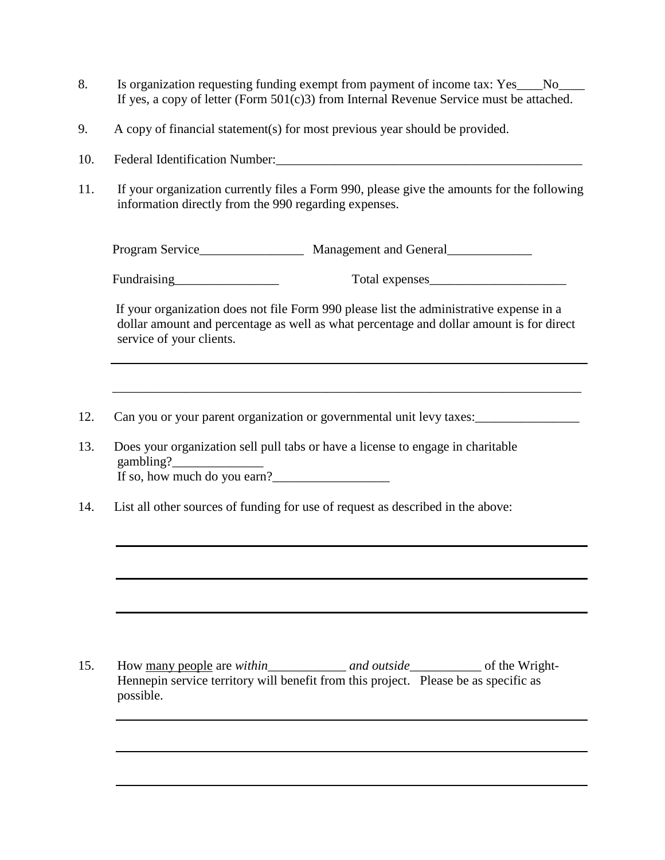- 8. Is organization requesting funding exempt from payment of income tax: Yes No If yes, a copy of letter (Form 501(c)3) from Internal Revenue Service must be attached.
- 9. A copy of financial statement(s) for most previous year should be provided.
- 10. Federal Identification Number:
- 11. If your organization currently files a Form 990, please give the amounts for the following information directly from the 990 regarding expenses.

Program Service\_\_\_\_\_\_\_\_\_\_\_\_\_\_\_\_\_\_ Management and General\_\_\_\_\_\_\_\_\_\_\_\_\_\_\_\_\_\_\_\_\_\_\_\_

Fundraising\_\_\_\_\_\_\_\_\_\_\_\_\_\_\_\_ Total expenses\_\_\_\_\_\_\_\_\_\_\_\_\_\_\_\_\_\_\_\_\_

If your organization does not file Form 990 please list the administrative expense in a dollar amount and percentage as well as what percentage and dollar amount is for direct service of your clients.

\_\_\_\_\_\_\_\_\_\_\_\_\_\_\_\_\_\_\_\_\_\_\_\_\_\_\_\_\_\_\_\_\_\_\_\_\_\_\_\_\_\_\_\_\_\_\_\_\_\_\_\_\_\_\_\_\_\_\_\_\_\_\_\_\_\_\_\_\_\_\_\_

- 12. Can you or your parent organization or governmental unit levy taxes:
- 13. Does your organization sell pull tabs or have a license to engage in charitable gambling? If so, how much do you earn? $\frac{1}{2}$
- 14. List all other sources of funding for use of request as described in the above:

15. How many people are *within\_\_\_\_\_\_\_\_\_\_\_\_ and outside\_\_\_\_\_\_\_\_\_\_\_* of the Wright-Hennepin service territory will benefit from this project. Please be as specific as possible.